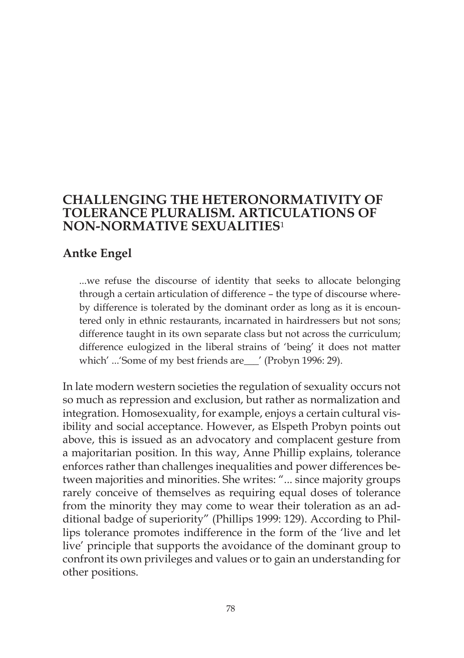# **CHALLENGING THE HETERONORMATIVITY OF TOLERANCE PLURALISM. ARTICULATIONS OF NON-NORMATIVE SEXUALITIES**<sup>1</sup>

# **Antke Engel**

...we refuse the discourse of identity that seeks to allocate belonging through a certain articulation of difference – the type of discourse whereby difference is tolerated by the dominant order as long as it is encountered only in ethnic restaurants, incarnated in hairdressers but not sons; difference taught in its own separate class but not across the curriculum; difference eulogized in the liberal strains of 'being' it does not matter which' ...'Some of my best friends are\_\_\_' (Probyn 1996: 29).

In late modern western societies the regulation of sexuality occurs not so much as repression and exclusion, but rather as normalization and integration. Homosexuality, for example, enjoys a certain cultural visibility and social acceptance. However, as Elspeth Probyn points out above, this is issued as an advocatory and complacent gesture from a majoritarian position. In this way, Anne Phillip explains, tolerance enforces rather than challenges inequalities and power differences between majorities and minorities. She writes: "... since majority groups rarely conceive of themselves as requiring equal doses of tolerance from the minority they may come to wear their toleration as an additional badge of superiority" (Phillips 1999: 129). According to Phillips tolerance promotes indifference in the form of the 'live and let live' principle that supports the avoidance of the dominant group to confront its own privileges and values or to gain an understanding for other positions.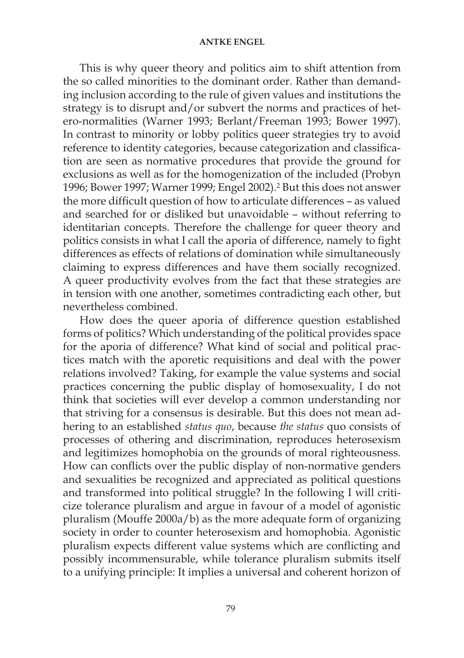This is why queer theory and politics aim to shift attention from the so called minorities to the dominant order. Rather than demanding inclusion according to the rule of given values and institutions the strategy is to disrupt and/or subvert the norms and practices of hetero-normalities (Warner 1993; Berlant/Freeman 1993; Bower 1997). In contrast to minority or lobby politics queer strategies try to avoid reference to identity categories, because categorization and classification are seen as normative procedures that provide the ground for exclusions as well as for the homogenization of the included (Probyn 1996; Bower 1997; Warner 1999; Engel 2002).2 But this does not answer the more difficult question of how to articulate differences – as valued and searched for or disliked but unavoidable – without referring to identitarian concepts. Therefore the challenge for queer theory and politics consists in what I call the aporia of difference, namely to fight differences as effects of relations of domination while simultaneously claiming to express differences and have them socially recognized. A queer productivity evolves from the fact that these strategies are in tension with one another, sometimes contradicting each other, but nevertheless combined.

How does the queer aporia of difference question established forms of politics? Which understanding of the political provides space for the aporia of difference? What kind of social and political practices match with the aporetic requisitions and deal with the power relations involved? Taking, for example the value systems and social practices concerning the public display of homosexuality, I do not think that societies will ever develop a common understanding nor that striving for a consensus is desirable. But this does not mean adhering to an established *status quo*, because *the status* quo consists of processes of othering and discrimination, reproduces heterosexism and legitimizes homophobia on the grounds of moral righteousness. How can conflicts over the public display of non-normative genders and sexualities be recognized and appreciated as political questions and transformed into political struggle? In the following I will criticize tolerance pluralism and argue in favour of a model of agonistic pluralism (Mouffe 2000a/b) as the more adequate form of organizing society in order to counter heterosexism and homophobia. Agonistic pluralism expects different value systems which are conflicting and possibly incommensurable, while tolerance pluralism submits itself to a unifying principle: It implies a universal and coherent horizon of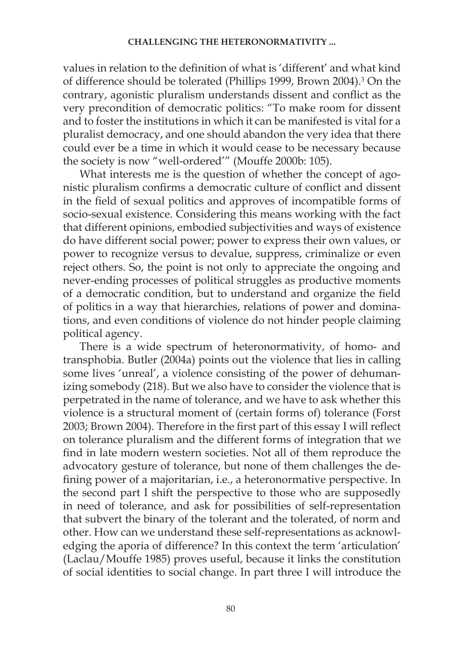values in relation to the definition of what is 'different' and what kind of difference should be tolerated (Phillips 1999, Brown 2004).3 On the contrary, agonistic pluralism understands dissent and conflict as the very precondition of democratic politics: "To make room for dissent and to foster the institutions in which it can be manifested is vital for a pluralist democracy, and one should abandon the very idea that there could ever be a time in which it would cease to be necessary because the society is now "well-ordered'" (Mouffe 2000b: 105).

What interests me is the question of whether the concept of agonistic pluralism confirms a democratic culture of conflict and dissent in the field of sexual politics and approves of incompatible forms of socio-sexual existence. Considering this means working with the fact that different opinions, embodied subjectivities and ways of existence do have different social power; power to express their own values, or power to recognize versus to devalue, suppress, criminalize or even reject others. So, the point is not only to appreciate the ongoing and never-ending processes of political struggles as productive moments of a democratic condition, but to understand and organize the field of politics in a way that hierarchies, relations of power and dominations, and even conditions of violence do not hinder people claiming political agency.

There is a wide spectrum of heteronormativity, of homo- and transphobia. Butler (2004a) points out the violence that lies in calling some lives 'unreal', a violence consisting of the power of dehumanizing somebody (218). But we also have to consider the violence that is perpetrated in the name of tolerance, and we have to ask whether this violence is a structural moment of (certain forms of) tolerance (Forst 2003; Brown 2004). Therefore in the first part of this essay I will reflect on tolerance pluralism and the different forms of integration that we find in late modern western societies. Not all of them reproduce the advocatory gesture of tolerance, but none of them challenges the defining power of a majoritarian, i.e., a heteronormative perspective. In the second part I shift the perspective to those who are supposedly in need of tolerance, and ask for possibilities of self-representation that subvert the binary of the tolerant and the tolerated, of norm and other. How can we understand these self-representations as acknowledging the aporia of difference? In this context the term 'articulation' (Laclau/Mouffe 1985) proves useful, because it links the constitution of social identities to social change. In part three I will introduce the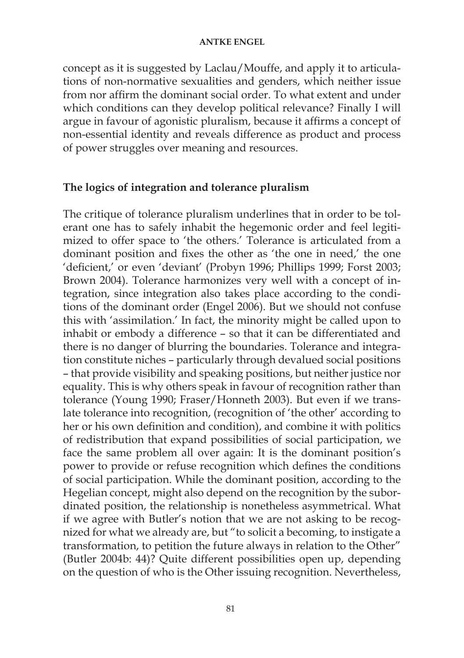concept as it is suggested by Laclau/Mouffe, and apply it to articulations of non-normative sexualities and genders, which neither issue from nor affirm the dominant social order. To what extent and under which conditions can they develop political relevance? Finally I will argue in favour of agonistic pluralism, because it affirms a concept of non-essential identity and reveals difference as product and process of power struggles over meaning and resources.

## **The logics of integration and tolerance pluralism**

The critique of tolerance pluralism underlines that in order to be tolerant one has to safely inhabit the hegemonic order and feel legitimized to offer space to 'the others.' Tolerance is articulated from a dominant position and fixes the other as 'the one in need,' the one 'deficient,' or even 'deviant' (Probyn 1996; Phillips 1999; Forst 2003; Brown 2004). Tolerance harmonizes very well with a concept of integration, since integration also takes place according to the conditions of the dominant order (Engel 2006). But we should not confuse this with 'assimilation.' In fact, the minority might be called upon to inhabit or embody a difference – so that it can be differentiated and there is no danger of blurring the boundaries. Tolerance and integration constitute niches – particularly through devalued social positions – that provide visibility and speaking positions, but neither justice nor equality. This is why others speak in favour of recognition rather than tolerance (Young 1990; Fraser/Honneth 2003). But even if we translate tolerance into recognition, (recognition of 'the other' according to her or his own definition and condition), and combine it with politics of redistribution that expand possibilities of social participation, we face the same problem all over again: It is the dominant position's power to provide or refuse recognition which defines the conditions of social participation. While the dominant position, according to the Hegelian concept, might also depend on the recognition by the subordinated position, the relationship is nonetheless asymmetrical. What if we agree with Butler's notion that we are not asking to be recognized for what we already are, but "to solicit a becoming, to instigate a transformation, to petition the future always in relation to the Other" (Butler 2004b: 44)? Quite different possibilities open up, depending on the question of who is the Other issuing recognition. Nevertheless,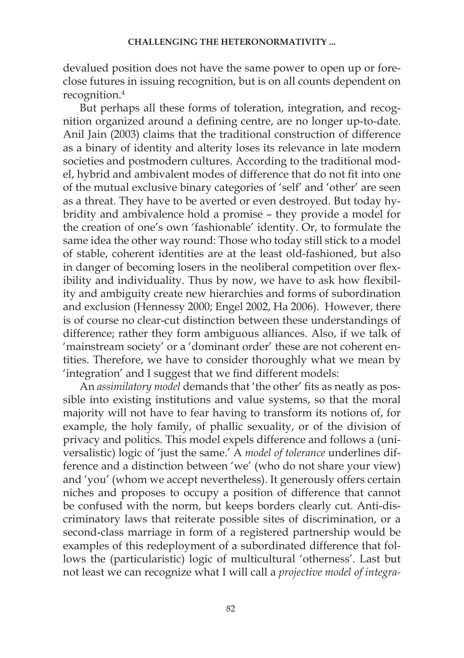devalued position does not have the same power to open up or foreclose futures in issuing recognition, but is on all counts dependent on recognition.4

But perhaps all these forms of toleration, integration, and recognition organized around a defining centre, are no longer up-to-date. Anil Jain (2003) claims that the traditional construction of difference as a binary of identity and alterity loses its relevance in late modern societies and postmodern cultures. According to the traditional model, hybrid and ambivalent modes of difference that do not fit into one of the mutual exclusive binary categories of 'self' and 'other' are seen as a threat. They have to be averted or even destroyed. But today hybridity and ambivalence hold a promise – they provide a model for the creation of one's own 'fashionable' identity. Or, to formulate the same idea the other way round: Those who today still stick to a model of stable, coherent identities are at the least old-fashioned, but also in danger of becoming losers in the neoliberal competition over flexibility and individuality. Thus by now, we have to ask how flexibility and ambiguity create new hierarchies and forms of subordination and exclusion (Hennessy 2000; Engel 2002, Ha 2006). However, there is of course no clear-cut distinction between these understandings of difference; rather they form ambiguous alliances. Also, if we talk of 'mainstream society' or a 'dominant order' these are not coherent entities. Therefore, we have to consider thoroughly what we mean by 'integration' and I suggest that we find different models:

An *assimilatory model* demands that 'the other' fits as neatly as possible into existing institutions and value systems, so that the moral majority will not have to fear having to transform its notions of, for example, the holy family, of phallic sexuality, or of the division of privacy and politics. This model expels difference and follows a (universalistic) logic of 'just the same.' A *model of tolerance* underlines difference and a distinction between 'we' (who do not share your view) and 'you' (whom we accept nevertheless). It generously offers certain niches and proposes to occupy a position of difference that cannot be confused with the norm, but keeps borders clearly cut. Anti-discriminatory laws that reiterate possible sites of discrimination, or a second-class marriage in form of a registered partnership would be examples of this redeployment of a subordinated difference that follows the (particularistic) logic of multicultural 'otherness'. Last but not least we can recognize what I will call a *projective model of integra-*

82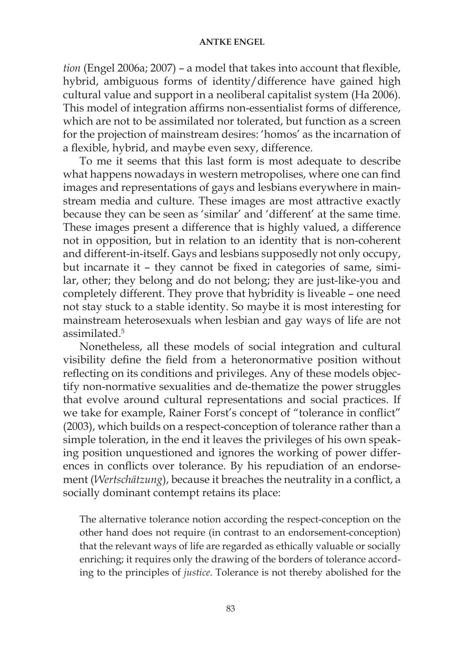*tion* (Engel 2006a; 2007) – a model that takes into account that flexible, hybrid, ambiguous forms of identity/difference have gained high cultural value and support in a neoliberal capitalist system (Ha 2006). This model of integration affirms non-essentialist forms of difference, which are not to be assimilated nor tolerated, but function as a screen for the projection of mainstream desires: 'homos' as the incarnation of a flexible, hybrid, and maybe even sexy, difference.

To me it seems that this last form is most adequate to describe what happens nowadays in western metropolises, where one can find images and representations of gays and lesbians everywhere in mainstream media and culture. These images are most attractive exactly because they can be seen as 'similar' and 'different' at the same time. These images present a difference that is highly valued, a difference not in opposition, but in relation to an identity that is non-coherent and different-in-itself. Gays and lesbians supposedly not only occupy, but incarnate it – they cannot be fixed in categories of same, similar, other; they belong and do not belong; they are just-like-you and completely different. They prove that hybridity is liveable – one need not stay stuck to a stable identity. So maybe it is most interesting for mainstream heterosexuals when lesbian and gay ways of life are not assimilated.5

Nonetheless, all these models of social integration and cultural visibility define the field from a heteronormative position without reflecting on its conditions and privileges. Any of these models objectify non-normative sexualities and de-thematize the power struggles that evolve around cultural representations and social practices. If we take for example, Rainer Forst's concept of "tolerance in conflict" (2003), which builds on a respect-conception of tolerance rather than a simple toleration, in the end it leaves the privileges of his own speaking position unquestioned and ignores the working of power differences in conflicts over tolerance. By his repudiation of an endorsement (*Wertschätzung*), because it breaches the neutrality in a conflict, a socially dominant contempt retains its place:

The alternative tolerance notion according the respect-conception on the other hand does not require (in contrast to an endorsement-conception) that the relevant ways of life are regarded as ethically valuable or socially enriching; it requires only the drawing of the borders of tolerance according to the principles of *justice*. Tolerance is not thereby abolished for the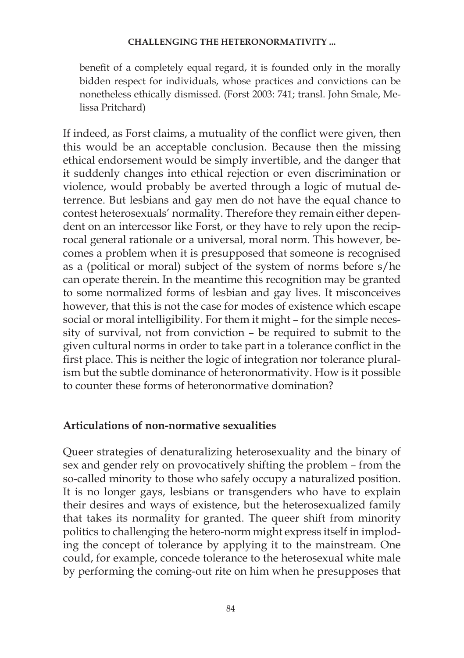benefit of a completely equal regard, it is founded only in the morally bidden respect for individuals, whose practices and convictions can be nonetheless ethically dismissed. (Forst 2003: 741; transl. John Smale, Melissa Pritchard)

If indeed, as Forst claims, a mutuality of the conflict were given, then this would be an acceptable conclusion. Because then the missing ethical endorsement would be simply invertible, and the danger that it suddenly changes into ethical rejection or even discrimination or violence, would probably be averted through a logic of mutual deterrence. But lesbians and gay men do not have the equal chance to contest heterosexuals' normality. Therefore they remain either dependent on an intercessor like Forst, or they have to rely upon the reciprocal general rationale or a universal, moral norm. This however, becomes a problem when it is presupposed that someone is recognised as a (political or moral) subject of the system of norms before s/he can operate therein. In the meantime this recognition may be granted to some normalized forms of lesbian and gay lives. It misconceives however, that this is not the case for modes of existence which escape social or moral intelligibility. For them it might – for the simple necessity of survival, not from conviction – be required to submit to the given cultural norms in order to take part in a tolerance conflict in the first place. This is neither the logic of integration nor tolerance pluralism but the subtle dominance of heteronormativity. How is it possible to counter these forms of heteronormative domination?

## **Articulations of non-normative sexualities**

Queer strategies of denaturalizing heterosexuality and the binary of sex and gender rely on provocatively shifting the problem – from the so-called minority to those who safely occupy a naturalized position. It is no longer gays, lesbians or transgenders who have to explain their desires and ways of existence, but the heterosexualized family that takes its normality for granted. The queer shift from minority politics to challenging the hetero-norm might express itself in imploding the concept of tolerance by applying it to the mainstream. One could, for example, concede tolerance to the heterosexual white male by performing the coming-out rite on him when he presupposes that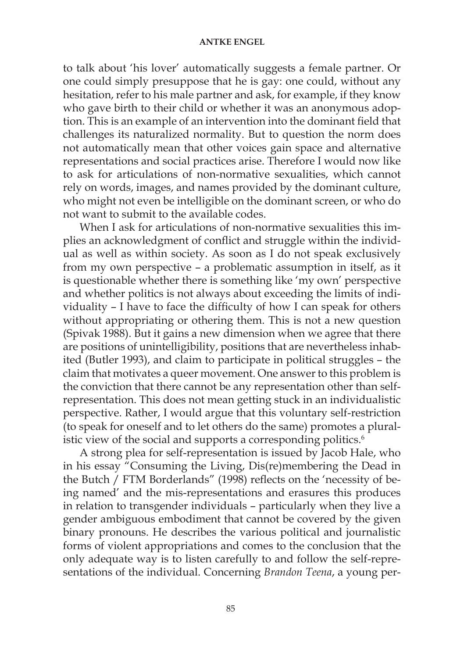to talk about 'his lover' automatically suggests a female partner. Or one could simply presuppose that he is gay: one could, without any hesitation, refer to his male partner and ask, for example, if they know who gave birth to their child or whether it was an anonymous adoption. This is an example of an intervention into the dominant field that challenges its naturalized normality. But to question the norm does not automatically mean that other voices gain space and alternative representations and social practices arise. Therefore I would now like to ask for articulations of non-normative sexualities, which cannot rely on words, images, and names provided by the dominant culture, who might not even be intelligible on the dominant screen, or who do not want to submit to the available codes.

When I ask for articulations of non-normative sexualities this implies an acknowledgment of conflict and struggle within the individual as well as within society. As soon as I do not speak exclusively from my own perspective – a problematic assumption in itself, as it is questionable whether there is something like 'my own' perspective and whether politics is not always about exceeding the limits of individuality – I have to face the difficulty of how I can speak for others without appropriating or othering them. This is not a new question (Spivak 1988). But it gains a new dimension when we agree that there are positions of unintelligibility, positions that are nevertheless inhabited (Butler 1993), and claim to participate in political struggles – the claim that motivates a queer movement. One answer to this problem is the conviction that there cannot be any representation other than selfrepresentation. This does not mean getting stuck in an individualistic perspective. Rather, I would argue that this voluntary self-restriction (to speak for oneself and to let others do the same) promotes a pluralistic view of the social and supports a corresponding politics.<sup>6</sup>

A strong plea for self-representation is issued by Jacob Hale, who in his essay "Consuming the Living, Dis(re)membering the Dead in the Butch / FTM Borderlands" (1998) reflects on the 'necessity of being named' and the mis-representations and erasures this produces in relation to transgender individuals – particularly when they live a gender ambiguous embodiment that cannot be covered by the given binary pronouns. He describes the various political and journalistic forms of violent appropriations and comes to the conclusion that the only adequate way is to listen carefully to and follow the self-representations of the individual. Concerning *Brandon Teena*, a young per-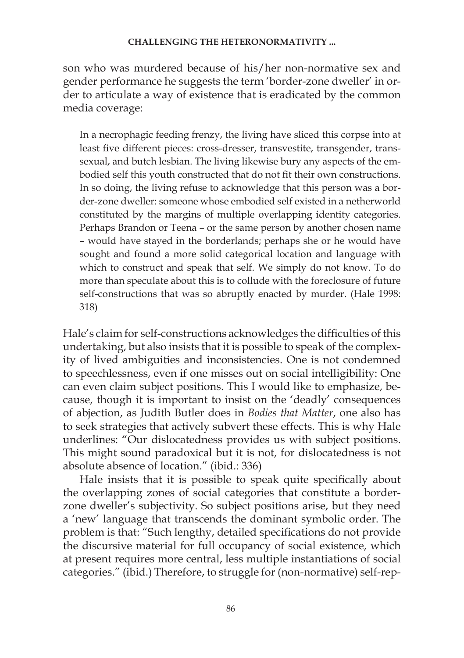son who was murdered because of his/her non-normative sex and gender performance he suggests the term 'border-zone dweller' in order to articulate a way of existence that is eradicated by the common media coverage:

In a necrophagic feeding frenzy, the living have sliced this corpse into at least five different pieces: cross-dresser, transvestite, transgender, transsexual, and butch lesbian. The living likewise bury any aspects of the embodied self this youth constructed that do not fit their own constructions. In so doing, the living refuse to acknowledge that this person was a border-zone dweller: someone whose embodied self existed in a netherworld constituted by the margins of multiple overlapping identity categories. Perhaps Brandon or Teena – or the same person by another chosen name – would have stayed in the borderlands; perhaps she or he would have sought and found a more solid categorical location and language with which to construct and speak that self. We simply do not know. To do more than speculate about this is to collude with the foreclosure of future self-constructions that was so abruptly enacted by murder. (Hale 1998: 318)

Hale's claim for self-constructions acknowledges the difficulties of this undertaking, but also insists that it is possible to speak of the complexity of lived ambiguities and inconsistencies. One is not condemned to speechlessness, even if one misses out on social intelligibility: One can even claim subject positions. This I would like to emphasize, because, though it is important to insist on the 'deadly' consequences of abjection, as Judith Butler does in *Bodies that Matter*, one also has to seek strategies that actively subvert these effects. This is why Hale underlines: "Our dislocatedness provides us with subject positions. This might sound paradoxical but it is not, for dislocatedness is not absolute absence of location." (ibid.: 336)

Hale insists that it is possible to speak quite specifically about the overlapping zones of social categories that constitute a borderzone dweller's subjectivity. So subject positions arise, but they need a 'new' language that transcends the dominant symbolic order. The problem is that: "Such lengthy, detailed specifications do not provide the discursive material for full occupancy of social existence, which at present requires more central, less multiple instantiations of social categories." (ibid.) Therefore, to struggle for (non-normative) self-rep-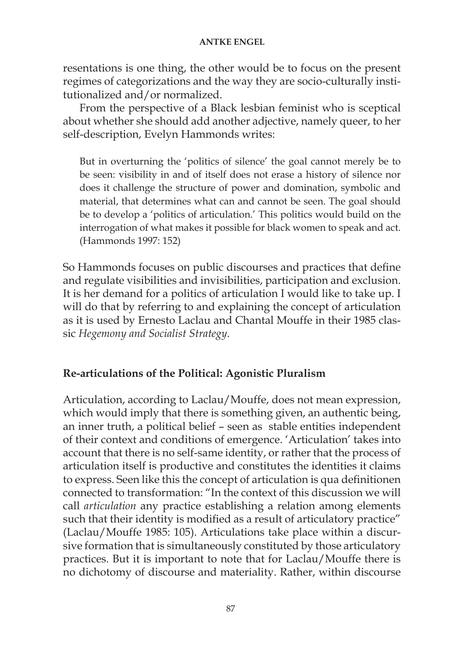resentations is one thing, the other would be to focus on the present regimes of categorizations and the way they are socio-culturally institutionalized and/or normalized.

From the perspective of a Black lesbian feminist who is sceptical about whether she should add another adjective, namely queer, to her self-description, Evelyn Hammonds writes:

But in overturning the 'politics of silence' the goal cannot merely be to be seen: visibility in and of itself does not erase a history of silence nor does it challenge the structure of power and domination, symbolic and material, that determines what can and cannot be seen. The goal should be to develop a 'politics of articulation.' This politics would build on the interrogation of what makes it possible for black women to speak and act. (Hammonds 1997: 152)

So Hammonds focuses on public discourses and practices that define and regulate visibilities and invisibilities, participation and exclusion. It is her demand for a politics of articulation I would like to take up. I will do that by referring to and explaining the concept of articulation as it is used by Ernesto Laclau and Chantal Mouffe in their 1985 classic *Hegemony and Socialist Strategy*.

## **Re-articulations of the Political: Agonistic Pluralism**

Articulation, according to Laclau/Mouffe, does not mean expression, which would imply that there is something given, an authentic being, an inner truth, a political belief – seen as stable entities independent of their context and conditions of emergence. 'Articulation' takes into account that there is no self-same identity, or rather that the process of articulation itself is productive and constitutes the identities it claims to express. Seen like this the concept of articulation is qua definitionen connected to transformation: "In the context of this discussion we will call *articulation* any practice establishing a relation among elements such that their identity is modified as a result of articulatory practice" (Laclau/Mouffe 1985: 105). Articulations take place within a discursive formation that is simultaneously constituted by those articulatory practices. But it is important to note that for Laclau/Mouffe there is no dichotomy of discourse and materiality. Rather, within discourse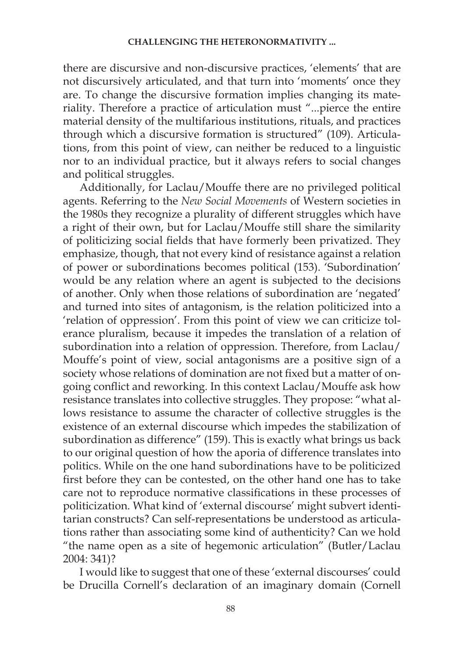there are discursive and non-discursive practices, 'elements' that are not discursively articulated, and that turn into 'moments' once they are. To change the discursive formation implies changing its materiality. Therefore a practice of articulation must "...pierce the entire material density of the multifarious institutions, rituals, and practices through which a discursive formation is structured" (109). Articulations, from this point of view, can neither be reduced to a linguistic nor to an individual practice, but it always refers to social changes and political struggles.

Additionally, for Laclau/Mouffe there are no privileged political agents. Referring to the *New Social Movements* of Western societies in the 1980s they recognize a plurality of different struggles which have a right of their own, but for Laclau/Mouffe still share the similarity of politicizing social fields that have formerly been privatized. They emphasize, though, that not every kind of resistance against a relation of power or subordinations becomes political (153). 'Subordination' would be any relation where an agent is subjected to the decisions of another. Only when those relations of subordination are 'negated' and turned into sites of antagonism, is the relation politicized into a 'relation of oppression'. From this point of view we can criticize tolerance pluralism, because it impedes the translation of a relation of subordination into a relation of oppression. Therefore, from Laclau/ Mouffe's point of view, social antagonisms are a positive sign of a society whose relations of domination are not fixed but a matter of ongoing conflict and reworking. In this context Laclau/Mouffe ask how resistance translates into collective struggles. They propose: "what allows resistance to assume the character of collective struggles is the existence of an external discourse which impedes the stabilization of subordination as difference" (159). This is exactly what brings us back to our original question of how the aporia of difference translates into politics. While on the one hand subordinations have to be politicized first before they can be contested, on the other hand one has to take care not to reproduce normative classifications in these processes of politicization. What kind of 'external discourse' might subvert identitarian constructs? Can self-representations be understood as articulations rather than associating some kind of authenticity? Can we hold "the name open as a site of hegemonic articulation" (Butler/Laclau 2004: 341)?

I would like to suggest that one of these 'external discourses' could be Drucilla Cornell's declaration of an imaginary domain (Cornell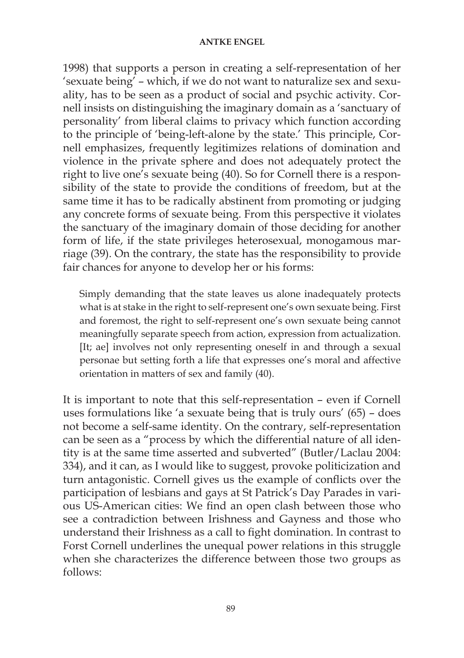1998) that supports a person in creating a self-representation of her 'sexuate being' – which, if we do not want to naturalize sex and sexuality, has to be seen as a product of social and psychic activity. Cornell insists on distinguishing the imaginary domain as a 'sanctuary of personality' from liberal claims to privacy which function according to the principle of 'being-left-alone by the state.' This principle, Cornell emphasizes, frequently legitimizes relations of domination and violence in the private sphere and does not adequately protect the right to live one's sexuate being (40). So for Cornell there is a responsibility of the state to provide the conditions of freedom, but at the same time it has to be radically abstinent from promoting or judging any concrete forms of sexuate being. From this perspective it violates the sanctuary of the imaginary domain of those deciding for another form of life, if the state privileges heterosexual, monogamous marriage (39). On the contrary, the state has the responsibility to provide fair chances for anyone to develop her or his forms:

Simply demanding that the state leaves us alone inadequately protects what is at stake in the right to self-represent one's own sexuate being. First and foremost, the right to self-represent one's own sexuate being cannot meaningfully separate speech from action, expression from actualization. [It; ae] involves not only representing oneself in and through a sexual personae but setting forth a life that expresses one's moral and affective orientation in matters of sex and family (40).

It is important to note that this self-representation – even if Cornell uses formulations like 'a sexuate being that is truly ours' (65) – does not become a self-same identity. On the contrary, self-representation can be seen as a "process by which the differential nature of all identity is at the same time asserted and subverted" (Butler/Laclau 2004: 334), and it can, as I would like to suggest, provoke politicization and turn antagonistic. Cornell gives us the example of conflicts over the participation of lesbians and gays at St Patrick's Day Parades in various US-American cities: We find an open clash between those who see a contradiction between Irishness and Gayness and those who understand their Irishness as a call to fight domination. In contrast to Forst Cornell underlines the unequal power relations in this struggle when she characterizes the difference between those two groups as follows: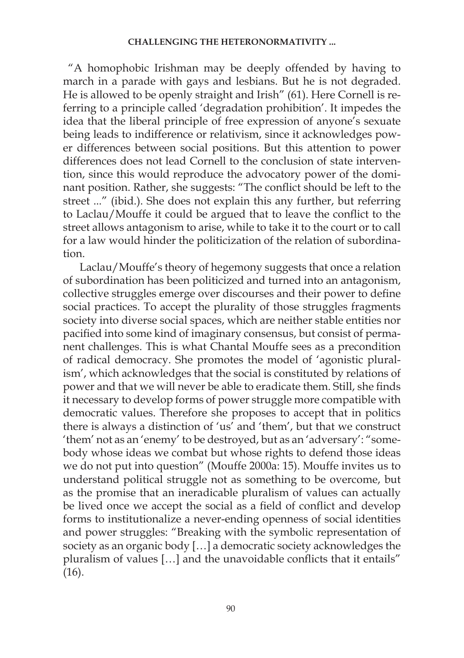"A homophobic Irishman may be deeply offended by having to march in a parade with gays and lesbians. But he is not degraded. He is allowed to be openly straight and Irish" (61). Here Cornell is referring to a principle called 'degradation prohibition'. It impedes the idea that the liberal principle of free expression of anyone's sexuate being leads to indifference or relativism, since it acknowledges power differences between social positions. But this attention to power differences does not lead Cornell to the conclusion of state intervention, since this would reproduce the advocatory power of the dominant position. Rather, she suggests: "The conflict should be left to the street ..." (ibid.). She does not explain this any further, but referring to Laclau/Mouffe it could be argued that to leave the conflict to the street allows antagonism to arise, while to take it to the court or to call for a law would hinder the politicization of the relation of subordination.

Laclau/Mouffe's theory of hegemony suggests that once a relation of subordination has been politicized and turned into an antagonism, collective struggles emerge over discourses and their power to define social practices. To accept the plurality of those struggles fragments society into diverse social spaces, which are neither stable entities nor pacified into some kind of imaginary consensus, but consist of permanent challenges. This is what Chantal Mouffe sees as a precondition of radical democracy. She promotes the model of 'agonistic pluralism', which acknowledges that the social is constituted by relations of power and that we will never be able to eradicate them. Still, she finds it necessary to develop forms of power struggle more compatible with democratic values. Therefore she proposes to accept that in politics there is always a distinction of 'us' and 'them', but that we construct 'them' not as an 'enemy' to be destroyed, but as an 'adversary': "somebody whose ideas we combat but whose rights to defend those ideas we do not put into question" (Mouffe 2000a: 15). Mouffe invites us to understand political struggle not as something to be overcome, but as the promise that an ineradicable pluralism of values can actually be lived once we accept the social as a field of conflict and develop forms to institutionalize a never-ending openness of social identities and power struggles: "Breaking with the symbolic representation of society as an organic body […] a democratic society acknowledges the pluralism of values […] and the unavoidable conflicts that it entails" (16).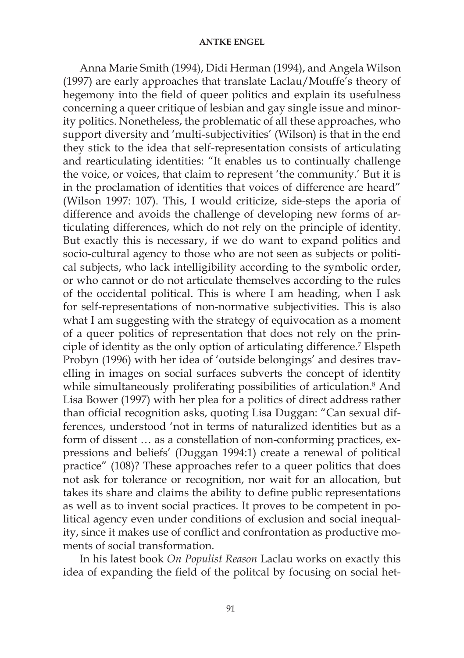Anna Marie Smith (1994), Didi Herman (1994), and Angela Wilson (1997) are early approaches that translate Laclau/Mouffe's theory of hegemony into the field of queer politics and explain its usefulness concerning a queer critique of lesbian and gay single issue and minority politics. Nonetheless, the problematic of all these approaches, who support diversity and 'multi-subjectivities' (Wilson) is that in the end they stick to the idea that self-representation consists of articulating and rearticulating identities: "It enables us to continually challenge the voice, or voices, that claim to represent 'the community.' But it is in the proclamation of identities that voices of difference are heard" (Wilson 1997: 107). This, I would criticize, side-steps the aporia of difference and avoids the challenge of developing new forms of articulating differences, which do not rely on the principle of identity. But exactly this is necessary, if we do want to expand politics and socio-cultural agency to those who are not seen as subjects or political subjects, who lack intelligibility according to the symbolic order, or who cannot or do not articulate themselves according to the rules of the occidental political. This is where I am heading, when I ask for self-representations of non-normative subjectivities. This is also what I am suggesting with the strategy of equivocation as a moment of a queer politics of representation that does not rely on the principle of identity as the only option of articulating difference.7 Elspeth Probyn (1996) with her idea of 'outside belongings' and desires travelling in images on social surfaces subverts the concept of identity while simultaneously proliferating possibilities of articulation.<sup>8</sup> And Lisa Bower (1997) with her plea for a politics of direct address rather than official recognition asks, quoting Lisa Duggan: "Can sexual differences, understood 'not in terms of naturalized identities but as a form of dissent … as a constellation of non-conforming practices, expressions and beliefs' (Duggan 1994:1) create a renewal of political practice" (108)? These approaches refer to a queer politics that does not ask for tolerance or recognition, nor wait for an allocation, but takes its share and claims the ability to define public representations as well as to invent social practices. It proves to be competent in political agency even under conditions of exclusion and social inequality, since it makes use of conflict and confrontation as productive moments of social transformation.

In his latest book *On Populist Reason* Laclau works on exactly this idea of expanding the field of the politcal by focusing on social het-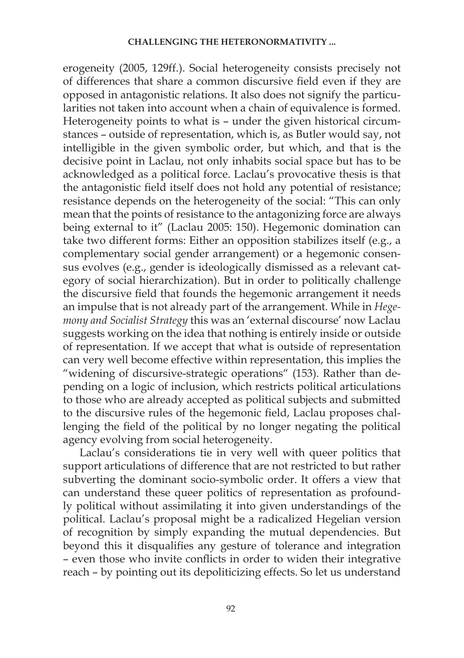erogeneity (2005, 129ff.). Social heterogeneity consists precisely not of differences that share a common discursive field even if they are opposed in antagonistic relations. It also does not signify the particularities not taken into account when a chain of equivalence is formed. Heterogeneity points to what is – under the given historical circumstances – outside of representation, which is, as Butler would say, not intelligible in the given symbolic order, but which, and that is the decisive point in Laclau, not only inhabits social space but has to be acknowledged as a political force. Laclau's provocative thesis is that the antagonistic field itself does not hold any potential of resistance; resistance depends on the heterogeneity of the social: "This can only mean that the points of resistance to the antagonizing force are always being external to it" (Laclau 2005: 150). Hegemonic domination can take two different forms: Either an opposition stabilizes itself (e.g., a complementary social gender arrangement) or a hegemonic consensus evolves (e.g., gender is ideologically dismissed as a relevant category of social hierarchization). But in order to politically challenge the discursive field that founds the hegemonic arrangement it needs an impulse that is not already part of the arrangement. While in *Hegemony and Socialist Strategy* this was an 'external discourse' now Laclau suggests working on the idea that nothing is entirely inside or outside of representation. If we accept that what is outside of representation can very well become effective within representation, this implies the "widening of discursive-strategic operations" (153). Rather than depending on a logic of inclusion, which restricts political articulations to those who are already accepted as political subjects and submitted to the discursive rules of the hegemonic field, Laclau proposes challenging the field of the political by no longer negating the political agency evolving from social heterogeneity.

Laclau's considerations tie in very well with queer politics that support articulations of difference that are not restricted to but rather subverting the dominant socio-symbolic order. It offers a view that can understand these queer politics of representation as profoundly political without assimilating it into given understandings of the political. Laclau's proposal might be a radicalized Hegelian version of recognition by simply expanding the mutual dependencies. But beyond this it disqualifies any gesture of tolerance and integration – even those who invite conflicts in order to widen their integrative reach – by pointing out its depoliticizing effects. So let us understand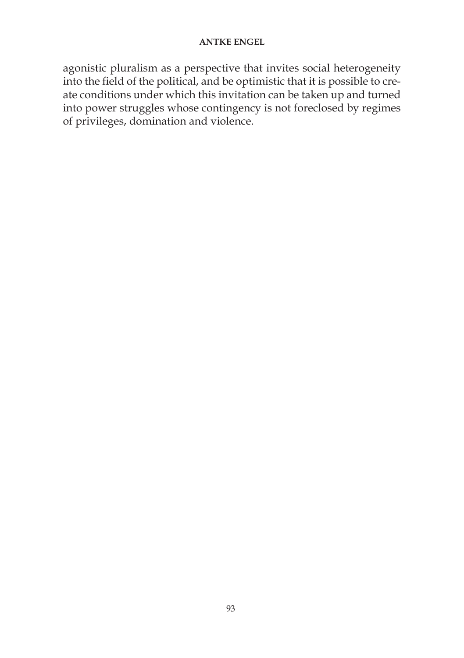agonistic pluralism as a perspective that invites social heterogeneity into the field of the political, and be optimistic that it is possible to create conditions under which this invitation can be taken up and turned into power struggles whose contingency is not foreclosed by regimes of privileges, domination and violence.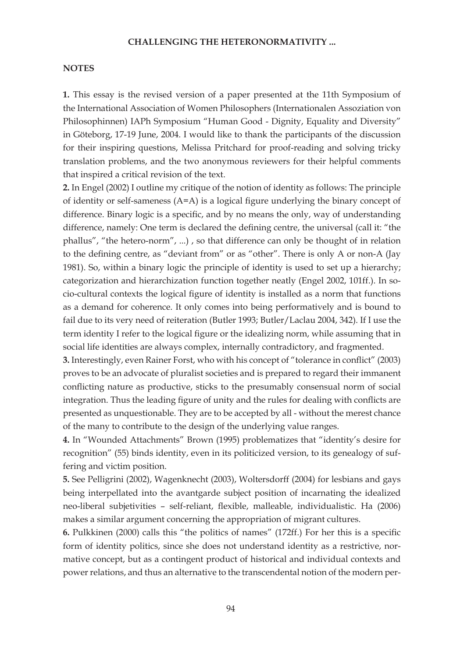#### **NOTES**

**1.** This essay is the revised version of a paper presented at the 11th Symposium of the International Association of Women Philosophers (Internationalen Assoziation von Philosophinnen) IAPh Symposium "Human Good - Dignity, Equality and Diversity" in Göteborg, 17-19 June, 2004. I would like to thank the participants of the discussion for their inspiring questions, Melissa Pritchard for proof-reading and solving tricky translation problems, and the two anonymous reviewers for their helpful comments that inspired a critical revision of the text.

**2.** In Engel (2002) I outline my critique of the notion of identity as follows: The principle of identity or self-sameness  $(A=A)$  is a logical figure underlying the binary concept of difference. Binary logic is a specific, and by no means the only, way of understanding difference, namely: One term is declared the defining centre, the universal (call it: "the phallus", "the hetero-norm", ...) , so that difference can only be thought of in relation to the defining centre, as "deviant from" or as "other". There is only A or non-A (Jay 1981). So, within a binary logic the principle of identity is used to set up a hierarchy; categorization and hierarchization function together neatly (Engel 2002, 101ff.). In socio-cultural contexts the logical figure of identity is installed as a norm that functions as a demand for coherence. It only comes into being performatively and is bound to fail due to its very need of reiteration (Butler 1993; Butler/Laclau 2004, 342). If I use the term identity I refer to the logical figure or the idealizing norm, while assuming that in social life identities are always complex, internally contradictory, and fragmented.

**3.** Interestingly, even Rainer Forst, who with his concept of "tolerance in conflict" (2003) proves to be an advocate of pluralist societies and is prepared to regard their immanent conflicting nature as productive, sticks to the presumably consensual norm of social integration. Thus the leading figure of unity and the rules for dealing with conflicts are presented as unquestionable. They are to be accepted by all - without the merest chance of the many to contribute to the design of the underlying value ranges.

**4.** In "Wounded Attachments" Brown (1995) problematizes that "identity's desire for recognition" (55) binds identity, even in its politicized version, to its genealogy of suffering and victim position.

**5.** See Pelligrini (2002), Wagenknecht (2003), Woltersdorff (2004) for lesbians and gays being interpellated into the avantgarde subject position of incarnating the idealized neo-liberal subjetivities – self-reliant, flexible, malleable, individualistic. Ha (2006) makes a similar argument concerning the appropriation of migrant cultures.

**6.** Pulkkinen (2000) calls this "the politics of names" (172ff.) For her this is a specific form of identity politics, since she does not understand identity as a restrictive, normative concept, but as a contingent product of historical and individual contexts and power relations, and thus an alternative to the transcendental notion of the modern per-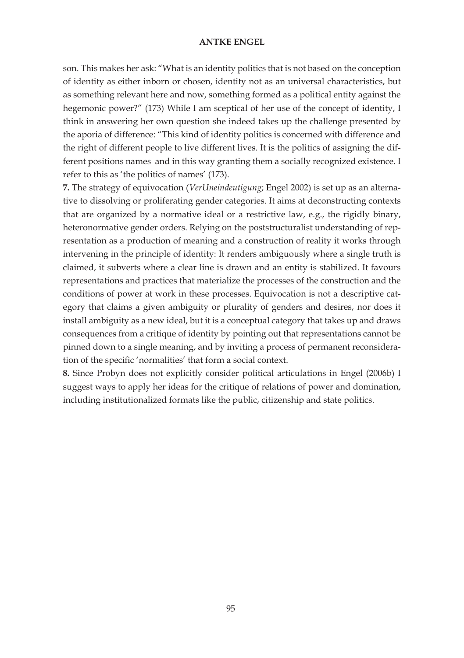son. This makes her ask: "What is an identity politics that is not based on the conception of identity as either inborn or chosen, identity not as an universal characteristics, but as something relevant here and now, something formed as a political entity against the hegemonic power?" (173) While I am sceptical of her use of the concept of identity, I think in answering her own question she indeed takes up the challenge presented by the aporia of difference: "This kind of identity politics is concerned with difference and the right of different people to live different lives. It is the politics of assigning the different positions names and in this way granting them a socially recognized existence. I refer to this as 'the politics of names' (173).

**7.** The strategy of equivocation (*VerUneindeutigung*; Engel 2002) is set up as an alternative to dissolving or proliferating gender categories. It aims at deconstructing contexts that are organized by a normative ideal or a restrictive law, e.g., the rigidly binary, heteronormative gender orders. Relying on the poststructuralist understanding of representation as a production of meaning and a construction of reality it works through intervening in the principle of identity: It renders ambiguously where a single truth is claimed, it subverts where a clear line is drawn and an entity is stabilized. It favours representations and practices that materialize the processes of the construction and the conditions of power at work in these processes. Equivocation is not a descriptive category that claims a given ambiguity or plurality of genders and desires, nor does it install ambiguity as a new ideal, but it is a conceptual category that takes up and draws consequences from a critique of identity by pointing out that representations cannot be pinned down to a single meaning, and by inviting a process of permanent reconsideration of the specific 'normalities' that form a social context.

**8.** Since Probyn does not explicitly consider political articulations in Engel (2006b) I suggest ways to apply her ideas for the critique of relations of power and domination, including institutionalized formats like the public, citizenship and state politics.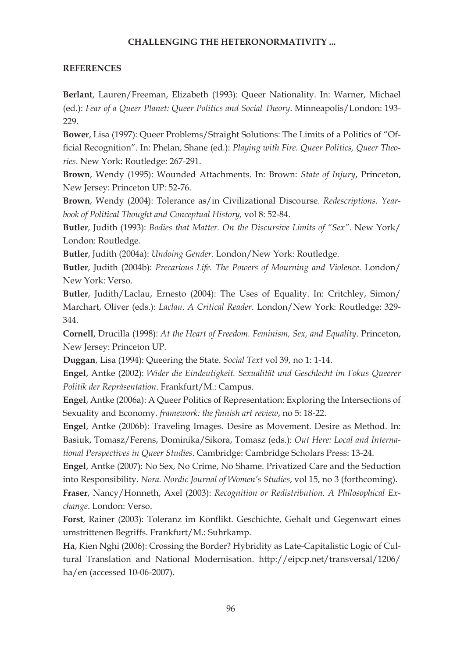#### **REFERENCES**

**Berlant**, Lauren/Freeman, Elizabeth (1993): Queer Nationality. In: Warner, Michael (ed.): *Fear of a Queer Planet: Queer Politics and Social Theory*. Minneapolis/London: 193- 229.

**Bower**, Lisa (1997): Queer Problems/Straight Solutions: The Limits of a Politics of "Official Recognition". In: Phelan, Shane (ed.): *Playing with Fire. Queer Politics, Queer Theories*. New York: Routledge: 267-291.

**Brown**, Wendy (1995): Wounded Attachments. In: Brown: *State of Injury*, Princeton, New Jersey: Princeton UP: 52-76.

**Brown**, Wendy (2004): Tolerance as/in Civilizational Discourse. *Redescriptions. Yearbook of Political Thought and Conceptual History,* vol 8: 52-84.

**Butler**, Judith (1993): *Bodies that Matter. On the Discursive Limits of "Sex"*. New York/ London: Routledge.

**Butler**, Judith (2004a): *Undoing Gender*. London/New York: Routledge.

**Butler**, Judith (2004b): *Precarious Life. The Powers of Mourning and Violence*. London/ New York: Verso.

**Butler**, Judith/Laclau, Ernesto (2004): The Uses of Equality. In: Critchley, Simon/ Marchart, Oliver (eds.): *Laclau. A Critical Reader*. London/New York: Routledge: 329- 344.

**Cornell**, Drucilla (1998): *At the Heart of Freedom. Feminism, Sex, and Equality*. Princeton, New Jersey: Princeton UP.

**Duggan**, Lisa (1994): Queering the State. *Social Text* vol 39, no 1: 1-14.

**Engel**, Antke (2002): *Wider die Eindeutigkeit. Sexualität und Geschlecht im Fokus Queerer Politik der Repräsentation*. Frankfurt/M.: Campus.

**Engel**, Antke (2006a): A Queer Politics of Representation: Exploring the Intersections of Sexuality and Economy. *framework: the finnish art review*, no 5: 18-22.

**Engel**, Antke (2006b): Traveling Images. Desire as Movement. Desire as Method. In: Basiuk, Tomasz/Ferens, Dominika/Sikora, Tomasz (eds.): *Out Here: Local and International Perspectives in Queer Studies*. Cambridge: Cambridge Scholars Press: 13-24.

**Engel**, Antke (2007): No Sex, No Crime, No Shame. Privatized Care and the Seduction into Responsibility. *Nora. Nordic Journal of Women's Studies*, vol 15, no 3 (forthcoming).

**Fraser**, Nancy/Honneth, Axel (2003): *Recognition or Redistribution. A Philosophical Exchange*. London: Verso.

**Forst**, Rainer (2003): Toleranz im Konflikt. Geschichte, Gehalt und Gegenwart eines umstrittenen Begriffs. Frankfurt/M.: Suhrkamp.

**Ha**, Kien Nghi (2006): Crossing the Border? Hybridity as Late-Capitalistic Logic of Cultural Translation and National Modernisation. http://eipcp.net/transversal/1206/ ha/en (accessed 10-06-2007).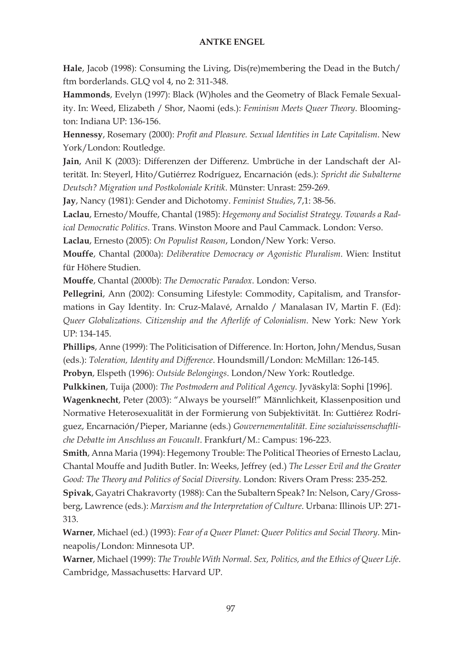**Hale**, Jacob (1998): Consuming the Living, Dis(re)membering the Dead in the Butch/ ftm borderlands. GLQ vol 4, no 2: 311-348.

**Hammonds**, Evelyn (1997): Black (W)holes and the Geometry of Black Female Sexuality. In: Weed, Elizabeth / Shor, Naomi (eds.): *Feminism Meets Queer Theory*. Bloomington: Indiana UP: 136-156.

**Hennessy**, Rosemary (2000): *Profit and Pleasure. Sexual Identities in Late Capitalism*. New York/London: Routledge.

**Jain**, Anil K (2003): Differenzen der Differenz. Umbrüche in der Landschaft der Alterität. In: Steyerl, Hito/Gutiérrez Rodríguez, Encarnación (eds.): *Spricht die Subalterne Deutsch? Migration und Postkoloniale Kritik*. Münster: Unrast: 259-269.

**Jay**, Nancy (1981): Gender and Dichotomy. *Feminist Studies*, 7,1: 38-56.

**Laclau**, Ernesto/Mouffe, Chantal (1985): *Hegemony and Socialist Strategy. Towards a Radical Democratic Politics*. Trans. Winston Moore and Paul Cammack. London: Verso.

**Laclau**, Ernesto (2005): *On Populist Reason*, London/New York: Verso.

**Mouffe**, Chantal (2000a): *Deliberative Democracy or Agonistic Pluralism*. Wien: Institut für Höhere Studien.

**Mouffe**, Chantal (2000b): *The Democratic Paradox*. London: Verso.

**Pellegrini**, Ann (2002): Consuming Lifestyle: Commodity, Capitalism, and Transformations in Gay Identity. In: Cruz-Malavé, Arnaldo / Manalasan IV, Martin F. (Ed): *Queer Globalizations. Citizenship and the Afterlife of Colonialism*. New York: New York UP: 134-145.

**Phillips**, Anne (1999): The Politicisation of Difference. In: Horton, John/Mendus, Susan (eds.): *Toleration, Identity and Difference*. Houndsmill/London: McMillan: 126-145.

**Probyn**, Elspeth (1996): *Outside Belongings*. London/New York: Routledge.

**Pulkkinen**, Tuija (2000): *The Postmodern and Political Agency*. Jyväskylä: Sophi [1996].

**Wagenknecht**, Peter (2003): "Always be yourself!" Männlichkeit, Klassenposition und Normative Heterosexualität in der Formierung von Subjektivität. In: Guttiérez Rodríguez, Encarnación/Pieper, Marianne (eds.) *Gouvernementalität. Eine sozialwissenschaftliche Debatte im Anschluss an Foucault*. Frankfurt/M.: Campus: 196-223.

**Smith**, Anna Maria (1994): Hegemony Trouble: The Political Theories of Ernesto Laclau, Chantal Mouffe and Judith Butler. In: Weeks, Jeffrey (ed.) *The Lesser Evil and the Greater Good: The Theory and Politics of Social Diversity*. London: Rivers Oram Press: 235-252.

**Spivak**, Gayatri Chakravorty (1988): Can the Subaltern Speak? In: Nelson, Cary/Grossberg, Lawrence (eds.): *Marxism and the Interpretation of Culture*. Urbana: Illinois UP: 271- 313.

**Warner**, Michael (ed.) (1993): *Fear of a Queer Planet: Queer Politics and Social Theory*. Minneapolis/London: Minnesota UP.

**Warner**, Michael (1999): *The Trouble With Normal. Sex, Politics, and the Ethics of Queer Life*. Cambridge, Massachusetts: Harvard UP.